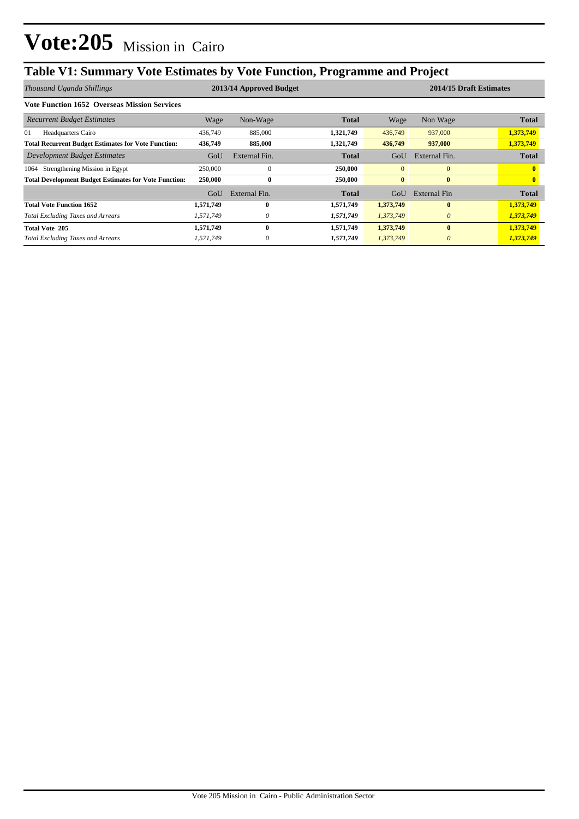## **Table V1: Summary Vote Estimates by Vote Function, Programme and Project**

| Thousand Uganda Shillings                                    |           | 2013/14 Approved Budget |              | 2014/15 Draft Estimates |               |              |  |
|--------------------------------------------------------------|-----------|-------------------------|--------------|-------------------------|---------------|--------------|--|
| <b>Vote Function 1652 Overseas Mission Services</b>          |           |                         |              |                         |               |              |  |
| <b>Recurrent Budget Estimates</b>                            | Wage      | Non-Wage                | <b>Total</b> | Wage                    | Non Wage      | <b>Total</b> |  |
| 01<br><b>Headquarters Cairo</b>                              | 436,749   | 885,000                 | 1,321,749    | 436,749                 | 937,000       | 1,373,749    |  |
| <b>Total Recurrent Budget Estimates for Vote Function:</b>   | 436,749   | 885,000                 | 1,321,749    | 436,749                 | 937,000       | 1,373,749    |  |
| Development Budget Estimates                                 | GoU       | External Fin.           | Total        | GoU                     | External Fin. | <b>Total</b> |  |
| Strengthening Mission in Egypt<br>1064                       | 250,000   | $\theta$                | 250,000      | $\mathbf{0}$            | $\mathbf{0}$  |              |  |
| <b>Total Development Budget Estimates for Vote Function:</b> | 250,000   | $\bf{0}$                | 250,000      | $\bf{0}$                | $\bf{0}$      |              |  |
|                                                              | GoU       | External Fin.           | <b>Total</b> | GoU                     | External Fin  | <b>Total</b> |  |
| <b>Total Vote Function 1652</b>                              | 1,571,749 | 0                       | 1,571,749    | 1,373,749               | $\bf{0}$      | 1,373,749    |  |
| <b>Total Excluding Taxes and Arrears</b>                     | 1,571,749 | 0                       | 1,571,749    | 1,373,749               | $\theta$      | 1,373,749    |  |
| <b>Total Vote 205</b>                                        | 1,571,749 | 0                       | 1,571,749    | 1,373,749               | $\bf{0}$      | 1,373,749    |  |
| <b>Total Excluding Taxes and Arrears</b>                     | 1,571,749 | 0                       | 1,571,749    | 1,373,749               | $\theta$      | 1,373,749    |  |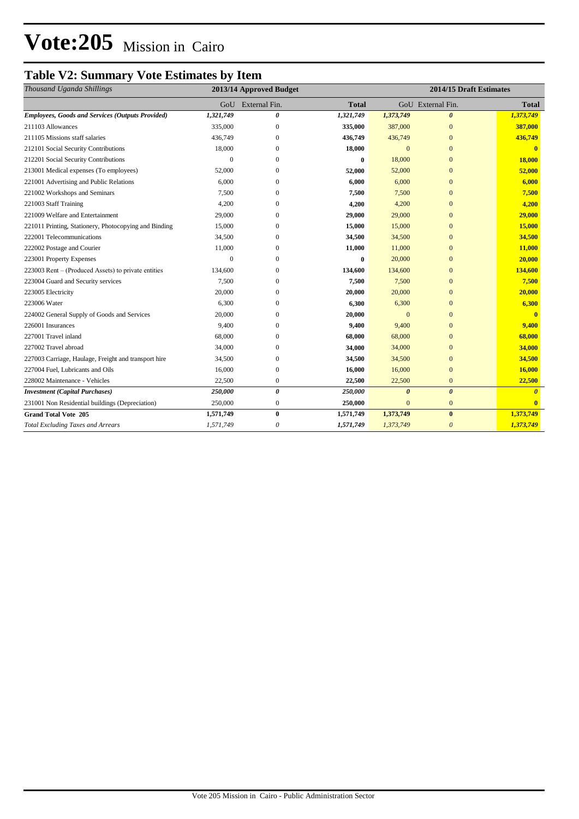## **Vote:205** Mission in Cairo

### **Table V2: Summary Vote Estimates by Item**

| Thousand Uganda Shillings                               |              | 2013/14 Approved Budget |              | 2014/15 Draft Estimates |                       |                       |  |
|---------------------------------------------------------|--------------|-------------------------|--------------|-------------------------|-----------------------|-----------------------|--|
|                                                         | GoU          | External Fin.           | <b>Total</b> |                         | GoU External Fin.     | <b>Total</b>          |  |
| <b>Employees, Goods and Services (Outputs Provided)</b> | 1,321,749    | 0                       | 1,321,749    | 1,373,749               | $\boldsymbol{\theta}$ | 1,373,749             |  |
| 211103 Allowances                                       | 335,000      | 0                       | 335,000      | 387,000                 | $\mathbf{0}$          | 387,000               |  |
| 211105 Missions staff salaries                          | 436,749      | 0                       | 436,749      | 436,749                 | $\mathbf{0}$          | 436,749               |  |
| 212101 Social Security Contributions                    | 18,000       | $\mathbf{0}$            | 18,000       | $\mathbf{0}$            | $\mathbf{0}$          | $\mathbf{0}$          |  |
| 212201 Social Security Contributions                    | $\Omega$     | $\Omega$                | $\bf{0}$     | 18,000                  | $\overline{0}$        | 18,000                |  |
| 213001 Medical expenses (To employees)                  | 52,000       | 0                       | 52,000       | 52,000                  | $\mathbf{0}$          | 52,000                |  |
| 221001 Advertising and Public Relations                 | 6,000        | $\Omega$                | 6,000        | 6,000                   | $\Omega$              | 6,000                 |  |
| 221002 Workshops and Seminars                           | 7,500        | $\Omega$                | 7,500        | 7,500                   | $\overline{0}$        | 7,500                 |  |
| 221003 Staff Training                                   | 4,200        | $\Omega$                | 4,200        | 4,200                   | $\Omega$              | 4,200                 |  |
| 221009 Welfare and Entertainment                        | 29,000       | $\Omega$                | 29,000       | 29,000                  | $\Omega$              | 29,000                |  |
| 221011 Printing, Stationery, Photocopying and Binding   | 15,000       | $\Omega$                | 15,000       | 15,000                  | $\overline{0}$        | 15,000                |  |
| 222001 Telecommunications                               | 34,500       | $\Omega$                | 34,500       | 34,500                  | $\Omega$              | 34,500                |  |
| 222002 Postage and Courier                              | 11,000       | 0                       | 11,000       | 11,000                  | $\overline{0}$        | 11,000                |  |
| 223001 Property Expenses                                | $\mathbf{0}$ | 0                       | $\bf{0}$     | 20,000                  | $\overline{0}$        | 20,000                |  |
| 223003 Rent – (Produced Assets) to private entities     | 134,600      | 0                       | 134,600      | 134,600                 | $\Omega$              | 134,600               |  |
| 223004 Guard and Security services                      | 7,500        | $\Omega$                | 7,500        | 7,500                   | $\mathbf{0}$          | 7,500                 |  |
| 223005 Electricity                                      | 20,000       | 0                       | 20,000       | 20,000                  | $\mathbf{0}$          | 20,000                |  |
| 223006 Water                                            | 6,300        | $\Omega$                | 6,300        | 6,300                   | $\Omega$              | 6,300                 |  |
| 224002 General Supply of Goods and Services             | 20,000       | 0                       | 20,000       | $\overline{0}$          | $\overline{0}$        | $\mathbf{0}$          |  |
| 226001 Insurances                                       | 9,400        | 0                       | 9,400        | 9,400                   | $\Omega$              | 9,400                 |  |
| 227001 Travel inland                                    | 68,000       | $\Omega$                | 68,000       | 68,000                  | $\Omega$              | 68,000                |  |
| 227002 Travel abroad                                    | 34,000       | $\Omega$                | 34,000       | 34,000                  | $\mathbf{0}$          | 34,000                |  |
| 227003 Carriage, Haulage, Freight and transport hire    | 34,500       | 0                       | 34,500       | 34,500                  | $\mathbf{0}$          | 34,500                |  |
| 227004 Fuel, Lubricants and Oils                        | 16,000       | 0                       | 16,000       | 16,000                  | $\overline{0}$        | 16,000                |  |
| 228002 Maintenance - Vehicles                           | 22,500       | $\boldsymbol{0}$        | 22,500       | 22,500                  | $\mathbf{0}$          | 22,500                |  |
| <b>Investment</b> (Capital Purchases)                   | 250,000      | $\boldsymbol{\theta}$   | 250,000      | $\boldsymbol{\theta}$   | $\boldsymbol{\theta}$ | $\boldsymbol{\theta}$ |  |
| 231001 Non Residential buildings (Depreciation)         | 250,000      | $\boldsymbol{0}$        | 250,000      | $\mathbf{0}$            | $\mathbf{0}$          | $\mathbf{0}$          |  |
| <b>Grand Total Vote 205</b>                             | 1,571,749    | $\bf{0}$                | 1,571,749    | 1,373,749               | $\bf{0}$              | 1,373,749             |  |
| <b>Total Excluding Taxes and Arrears</b>                | 1,571,749    | 0                       | 1,571,749    | 1,373,749               | $\theta$              | 1,373,749             |  |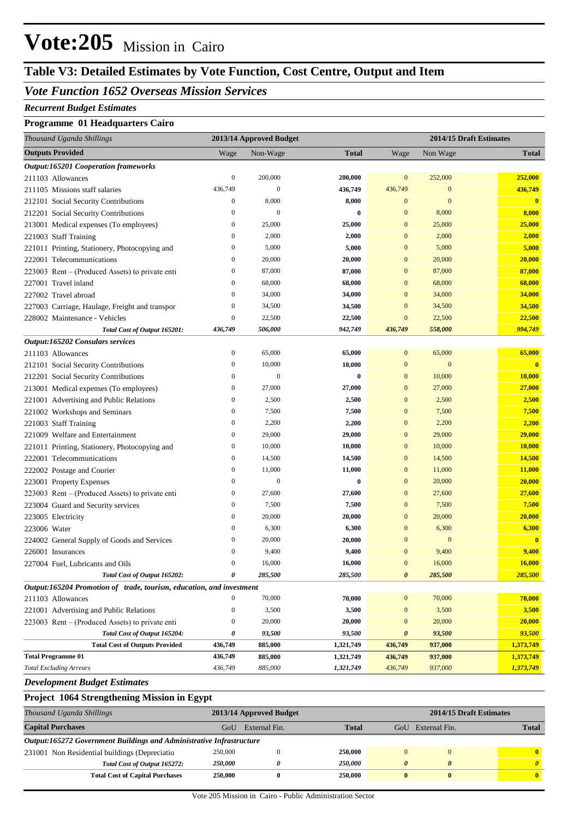## **Vote:205** Mission in Cairo

## **Table V3: Detailed Estimates by Vote Function, Cost Centre, Output and Item**

### *Vote Function 1652 Overseas Mission Services*

#### *Recurrent Budget Estimates*

#### **Programme 01 Headquarters Cairo**

| Thousand Uganda Shillings                                            |                  | 2013/14 Approved Budget |               | 2014/15 Draft Estimates |                  |                         |
|----------------------------------------------------------------------|------------------|-------------------------|---------------|-------------------------|------------------|-------------------------|
| <b>Outputs Provided</b>                                              | Wage             | Non-Wage                | <b>Total</b>  | Wage                    | Non Wage         | <b>Total</b>            |
| <b>Output:165201 Cooperation frameworks</b>                          |                  |                         |               |                         |                  |                         |
| 211103 Allowances                                                    | $\boldsymbol{0}$ | 200,000                 | 200,000       | $\mathbf{0}$            | 252,000          | 252,000                 |
| 211105 Missions staff salaries                                       | 436,749          | $\mathbf{0}$            | 436,749       | 436,749                 | $\mathbf{0}$     | 436,749                 |
| 212101 Social Security Contributions                                 | $\boldsymbol{0}$ | 8,000                   | 8,000         | $\mathbf{0}$            | $\mathbf{0}$     | $\overline{\mathbf{0}}$ |
| 212201 Social Security Contributions                                 | $\boldsymbol{0}$ | $\mathbf{0}$            | $\bf{0}$      | $\mathbf{0}$            | 8,000            | 8,000                   |
| 213001 Medical expenses (To employees)                               | $\boldsymbol{0}$ | 25,000                  | <b>25,000</b> | $\mathbf{0}$            | 25,000           | 25,000                  |
| 221003 Staff Training                                                | $\boldsymbol{0}$ | 2,000                   | 2,000         | $\mathbf{0}$            | 2,000            | 2,000                   |
| 221011 Printing, Stationery, Photocopying and                        | $\boldsymbol{0}$ | 5,000                   | 5,000         | $\mathbf{0}$            | 5,000            | 5,000                   |
| 222001 Telecommunications                                            | $\boldsymbol{0}$ | 20,000                  | 20,000        | $\mathbf{0}$            | 20,000           | 20,000                  |
| 223003 Rent – (Produced Assets) to private enti                      | $\boldsymbol{0}$ | 87,000                  | 87,000        | $\mathbf{0}$            | 87,000           | 87,000                  |
| 227001 Travel inland                                                 | $\boldsymbol{0}$ | 68,000                  | 68,000        | $\mathbf{0}$            | 68,000           | 68,000                  |
| 227002 Travel abroad                                                 | $\boldsymbol{0}$ | 34,000                  | 34,000        | $\mathbf{0}$            | 34,000           | 34,000                  |
| 227003 Carriage, Haulage, Freight and transpor                       | $\boldsymbol{0}$ | 34,500                  | 34,500        | $\mathbf{0}$            | 34,500           | 34,500                  |
| 228002 Maintenance - Vehicles                                        | $\boldsymbol{0}$ | 22,500                  | 22,500        | $\mathbf{0}$            | 22,500           | 22,500                  |
| Total Cost of Output 165201:                                         | 436,749          | 506,000                 | 942,749       | 436,749                 | 558,000          | 994,749                 |
| Output:165202 Consulars services                                     |                  |                         |               |                         |                  |                         |
| 211103 Allowances                                                    | $\boldsymbol{0}$ | 65,000                  | 65,000        | $\mathbf{0}$            | 65,000           | 65,000                  |
| 212101 Social Security Contributions                                 | $\boldsymbol{0}$ | 10,000                  | 10,000        | $\mathbf{0}$            | $\boldsymbol{0}$ | $\overline{\mathbf{0}}$ |
| 212201 Social Security Contributions                                 | $\boldsymbol{0}$ | $\mathbf{0}$            | $\bf{0}$      | $\mathbf{0}$            | 10,000           | 10,000                  |
| 213001 Medical expenses (To employees)                               | $\boldsymbol{0}$ | 27,000                  | 27,000        | $\mathbf{0}$            | 27,000           | 27,000                  |
| 221001 Advertising and Public Relations                              | $\boldsymbol{0}$ | 2,500                   | 2,500         | $\mathbf{0}$            | 2,500            | 2,500                   |
| 221002 Workshops and Seminars                                        | $\boldsymbol{0}$ | 7,500                   | 7,500         | $\mathbf{0}$            | 7,500            | 7,500                   |
| 221003 Staff Training                                                | $\boldsymbol{0}$ | 2,200                   | 2,200         | $\mathbf{0}$            | 2,200            | 2,200                   |
| 221009 Welfare and Entertainment                                     | $\boldsymbol{0}$ | 29,000                  | 29,000        | $\mathbf{0}$            | 29,000           | 29,000                  |
| 221011 Printing, Stationery, Photocopying and                        | $\boldsymbol{0}$ | 10,000                  | 10,000        | $\mathbf{0}$            | 10,000           | 10,000                  |
| 222001 Telecommunications                                            | $\boldsymbol{0}$ | 14,500                  | 14,500        | $\mathbf{0}$            | 14,500           | 14,500                  |
| 222002 Postage and Courier                                           | $\boldsymbol{0}$ | 11,000                  | 11,000        | $\mathbf{0}$            | 11,000           | 11,000                  |
| 223001 Property Expenses                                             | $\boldsymbol{0}$ | $\mathbf{0}$            | $\bf{0}$      | $\mathbf{0}$            | 20,000           | 20,000                  |
| 223003 Rent – (Produced Assets) to private enti                      | $\boldsymbol{0}$ | 27,600                  | 27,600        | $\mathbf{0}$            | 27,600           | 27,600                  |
| 223004 Guard and Security services                                   | $\boldsymbol{0}$ | 7,500                   | 7,500         | $\mathbf{0}$            | 7,500            | 7,500                   |
| 223005 Electricity                                                   | $\boldsymbol{0}$ | 20,000                  | 20,000        | $\mathbf{0}$            | 20,000           | 20,000                  |
| 223006 Water                                                         | $\boldsymbol{0}$ | 6,300                   | 6,300         | $\mathbf{0}$            | 6,300            | 6,300                   |
| 224002 General Supply of Goods and Services                          | $\boldsymbol{0}$ | 20,000                  | 20,000        | $\mathbf{0}$            | $\mathbf{0}$     | $\bf{0}$                |
| 226001 Insurances                                                    | $\boldsymbol{0}$ | 9,400                   | 9,400         | $\mathbf{0}$            | 9,400            | 9,400                   |
| 227004 Fuel, Lubricants and Oils                                     | $\mathbf{0}$     | 16,000                  | 16,000        | $\mathbf{0}$            | 16,000           | 16,000                  |
| Total Cost of Output 165202:                                         | 0                | 285,500                 | 285,500       | $\boldsymbol{\theta}$   | 285,500          | 285,500                 |
| Output:165204 Promotion of trade, tourism, education, and investment |                  |                         |               |                         |                  |                         |
| 211103 Allowances                                                    | $\boldsymbol{0}$ | 70,000                  | 70,000        | $\mathbf{0}$            | 70,000           | 70,000                  |
| 221001 Advertising and Public Relations                              | $\boldsymbol{0}$ | 3,500                   | 3,500         | $\mathbf{0}$            | 3,500            | 3,500                   |
| 223003 Rent - (Produced Assets) to private enti                      | $\boldsymbol{0}$ | 20,000                  | 20,000        | $\mathbf{0}$            | 20,000           | 20,000                  |
| Total Cost of Output 165204:                                         | 0                | 93,500                  | 93,500        | $\boldsymbol{\theta}$   | 93,500           | 93,500                  |
| <b>Total Cost of Outputs Provided</b>                                | 436,749          | 885,000                 | 1,321,749     | 436,749                 | 937,000          | 1,373,749               |
| <b>Total Programme 01</b>                                            | 436,749          | 885,000                 | 1,321,749     | 436,749                 | 937,000          | 1,373,749               |
| <b>Total Excluding Arrears</b>                                       | 436,749          | 885,000                 | 1,321,749     | 436,749                 | 937,000          | 1,373,749               |

#### *Development Budget Estimates*

#### **Project 1064 Strengthening Mission in Egypt** *Thousand Uganda Shillings* **2013/14 Approved Budget 2014/15 Draft Estimates Capital Purchases** GoU External Fin. **Total** GoU External Fin. **Total** *Output:165272 Government Buildings and Administrative Infrastructure* 231001 Non Residential buildings (Depreciatio 250,000 0 **250,000** 0 0 **0** *Total Cost of Output 165272: 250,000 0 250,000 0 0 0* **Total Cost of Capital Purchases 250,000 0 250,000 0 0 0**